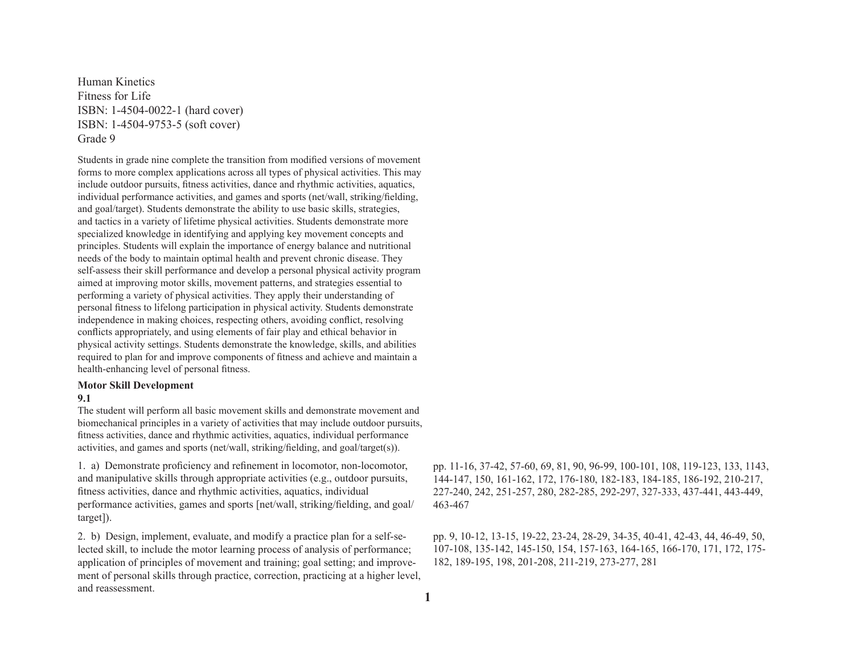Human Kinetics Fitness for Life ISBN: 1-4504-0022-1 (hard cover) ISBN: 1-4504-9753-5 (soft cover) Grade 9

Students in grade nine complete the transition from modified versions of movement forms to more complex applications across all types of physical activities. This may include outdoor pursuits, fitness activities, dance and rhythmic activities, aquatics, individual performance activities, and games and sports (net/wall, striking/fielding, and goal/target). Students demonstrate the ability to use basic skills, strategies, and tactics in a variety of lifetime physical activities. Students demonstrate more specialized knowledge in identifying and applying key movement concepts and principles. Students will explain the importance of energy balance and nutritional needs of the body to maintain optimal health and prevent chronic disease. They self-assess their skill performance and develop a personal physical activity program aimed at improving motor skills, movement patterns, and strategies essential to performing a variety of physical activities. They apply their understanding of personal fitness to lifelong participation in physical activity. Students demonstrate independence in making choices, respecting others, avoiding conflict, resolving conflicts appropriately, and using elements of fair play and ethical behavior in physical activity settings. Students demonstrate the knowledge, skills, and abilities required to plan for and improve components of fitness and achieve and maintain a health-enhancing level of personal fitness.

## **Motor Skill Development**

#### **9.1**

The student will perform all basic movement skills and demonstrate movement and biomechanical principles in a variety of activities that may include outdoor pursuits, fitness activities, dance and rhythmic activities, aquatics, individual performance activities, and games and sports (net/wall, striking/fielding, and goal/target(s)).

1. a) Demonstrate proficiency and refinement in locomotor, non-locomotor, and manipulative skills through appropriate activities (e.g., outdoor pursuits, fitness activities, dance and rhythmic activities, aquatics, individual performance activities, games and sports [net/wall, striking/fielding, and goal/ target]).

2. b) Design, implement, evaluate, and modify a practice plan for a self-selected skill, to include the motor learning process of analysis of performance; application of principles of movement and training; goal setting; and improvement of personal skills through practice, correction, practicing at a higher level, and reassessment.

pp. 11-16, 37-42, 57-60, 69, 81, 90, 96-99, 100-101, 108, 119-123, 133, 1143, 144-147, 150, 161-162, 172, 176-180, 182-183, 184-185, 186-192, 210-217, 227-240, 242, 251-257, 280, 282-285, 292-297, 327-333, 437-441, 443-449, 463-467

pp. 9, 10-12, 13-15, 19-22, 23-24, 28-29, 34-35, 40-41, 42-43, 44, 46-49, 50, 107-108, 135-142, 145-150, 154, 157-163, 164-165, 166-170, 171, 172, 175- 182, 189-195, 198, 201-208, 211-219, 273-277, 281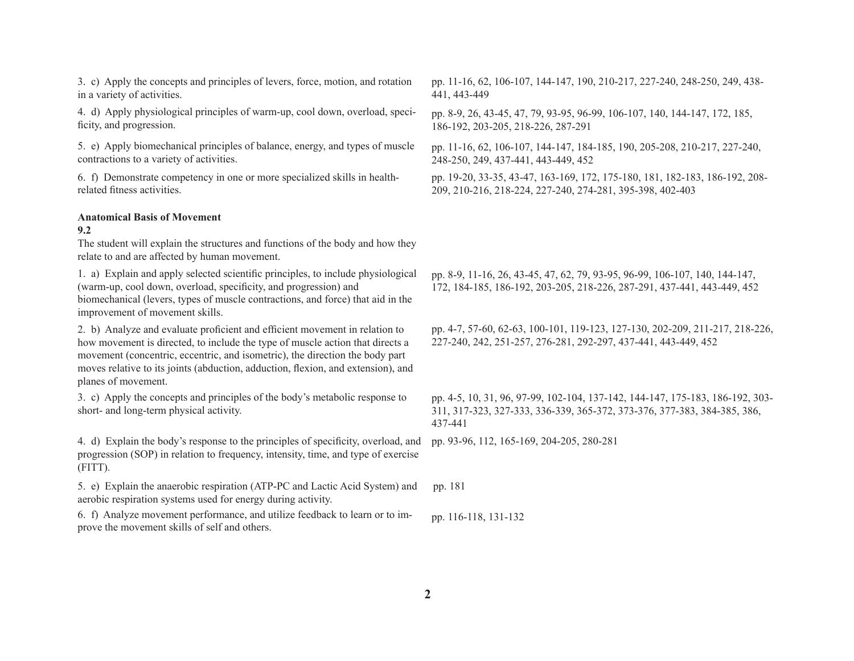3. c) Apply the concepts and principles of levers, force, motion, and rotation in a variety of activities.

4. d) Apply physiological principles of warm-up, cool down, overload, specificity, and progression.

5. e) Apply biomechanical principles of balance, energy, and types of muscle contractions to a variety of activities.

6. f) Demonstrate competency in one or more specialized skills in healthrelated fitness activities.

# **Anatomical Basis of Movement**

#### **9.2**

The student will explain the structures and functions of the body and how they relate to and are affected by human movement.

1. a) Explain and apply selected scientific principles, to include physiological (warm-up, cool down, overload, specificity, and progression) and biomechanical (levers, types of muscle contractions, and force) that aid in the improvement of movement skills.

2. b) Analyze and evaluate proficient and efficient movement in relation to how movement is directed, to include the type of muscle action that directs a movement (concentric, eccentric, and isometric), the direction the body part moves relative to its joints (abduction, adduction, flexion, and extension), and planes of movement.

3. c) Apply the concepts and principles of the body's metabolic response to short- and long-term physical activity.

4. d) Explain the body's response to the principles of specificity, overload, and progression (SOP) in relation to frequency, intensity, time, and type of exercise (FITT).

5. e) Explain the anaerobic respiration (ATP-PC and Lactic Acid System) and aerobic respiration systems used for energy during activity. pp. 181

6. f) Analyze movement performance, and utilize feedback to learn or to improve the movement skills of self and others. pp. 116-118, 131-132

pp. 11-16, 62, 106-107, 144-147, 190, 210-217, 227-240, 248-250, 249, 438- 441, 443-449

pp. 8-9, 26, 43-45, 47, 79, 93-95, 96-99, 106-107, 140, 144-147, 172, 185, 186-192, 203-205, 218-226, 287-291

pp. 11-16, 62, 106-107, 144-147, 184-185, 190, 205-208, 210-217, 227-240, 248-250, 249, 437-441, 443-449, 452

pp. 19-20, 33-35, 43-47, 163-169, 172, 175-180, 181, 182-183, 186-192, 208- 209, 210-216, 218-224, 227-240, 274-281, 395-398, 402-403

pp. 8-9, 11-16, 26, 43-45, 47, 62, 79, 93-95, 96-99, 106-107, 140, 144-147, 172, 184-185, 186-192, 203-205, 218-226, 287-291, 437-441, 443-449, 452

pp. 4-7, 57-60, 62-63, 100-101, 119-123, 127-130, 202-209, 211-217, 218-226, 227-240, 242, 251-257, 276-281, 292-297, 437-441, 443-449, 452

pp. 4-5, 10, 31, 96, 97-99, 102-104, 137-142, 144-147, 175-183, 186-192, 303- 311, 317-323, 327-333, 336-339, 365-372, 373-376, 377-383, 384-385, 386, 437-441

pp. 93-96, 112, 165-169, 204-205, 280-281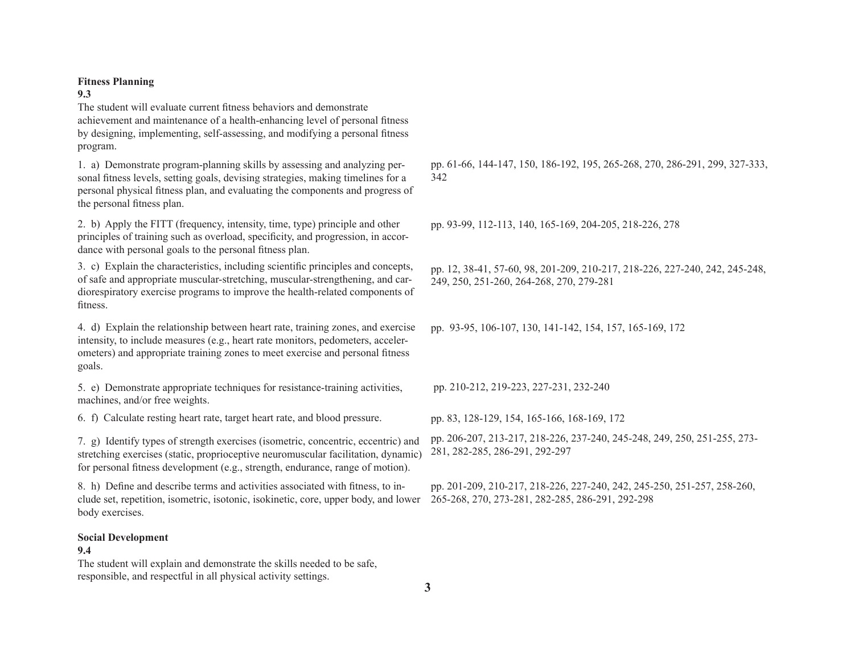### **Fitness Planning**

### **9.3**

The student will evaluate current fitness behaviors and demonstrate achievement and maintenance of a health-enhancing level of personal fitness by designing, implementing, self-assessing, and modifying a personal fitness program.

1. a) Demonstrate program-planning skills by assessing and analyzing personal fitness levels, setting goals, devising strategies, making timelines for a personal physical fitness plan, and evaluating the components and progress of the personal fitness plan.

2. b) Apply the FITT (frequency, intensity, time, type) principle and other principles of training such as overload, specificity, and progression, in accordance with personal goals to the personal fitness plan.

3. c) Explain the characteristics, including scientific principles and concepts, of safe and appropriate muscular-stretching, muscular-strengthening, and cardiorespiratory exercise programs to improve the health-related components of fitness.

4. d) Explain the relationship between heart rate, training zones, and exercise intensity, to include measures (e.g., heart rate monitors, pedometers, accelerometers) and appropriate training zones to meet exercise and personal fitness goals.

5. e) Demonstrate appropriate techniques for resistance-training activities, pp. 210-212, 219-223, 227-231, 232-240 machines, and/or free weights.

6. f) Calculate resting heart rate, target heart rate, and blood pressure. pp. 83, 128-129, 154, 165-166, 168-169, 172

7. g) Identify types of strength exercises (isometric, concentric, eccentric) and stretching exercises (static, proprioceptive neuromuscular facilitation, dynamic) for personal fitness development (e.g., strength, endurance, range of motion).

8. h) Define and describe terms and activities associated with fitness, to include set, repetition, isometric, isotonic, isokinetic, core, upper body, and lower body exercises.

## **Social Development**

## **9.4**

The student will explain and demonstrate the skills needed to be safe, responsible, and respectful in all physical activity settings.

pp. 61-66, 144-147, 150, 186-192, 195, 265-268, 270, 286-291, 299, 327-333, 342

pp. 93-99, 112-113, 140, 165-169, 204-205, 218-226, 278

pp. 12, 38-41, 57-60, 98, 201-209, 210-217, 218-226, 227-240, 242, 245-248, 249, 250, 251-260, 264-268, 270, 279-281

pp. 93-95, 106-107, 130, 141-142, 154, 157, 165-169, 172

pp. 206-207, 213-217, 218-226, 237-240, 245-248, 249, 250, 251-255, 273- 281, 282-285, 286-291, 292-297

pp. 201-209, 210-217, 218-226, 227-240, 242, 245-250, 251-257, 258-260, 265-268, 270, 273-281, 282-285, 286-291, 292-298